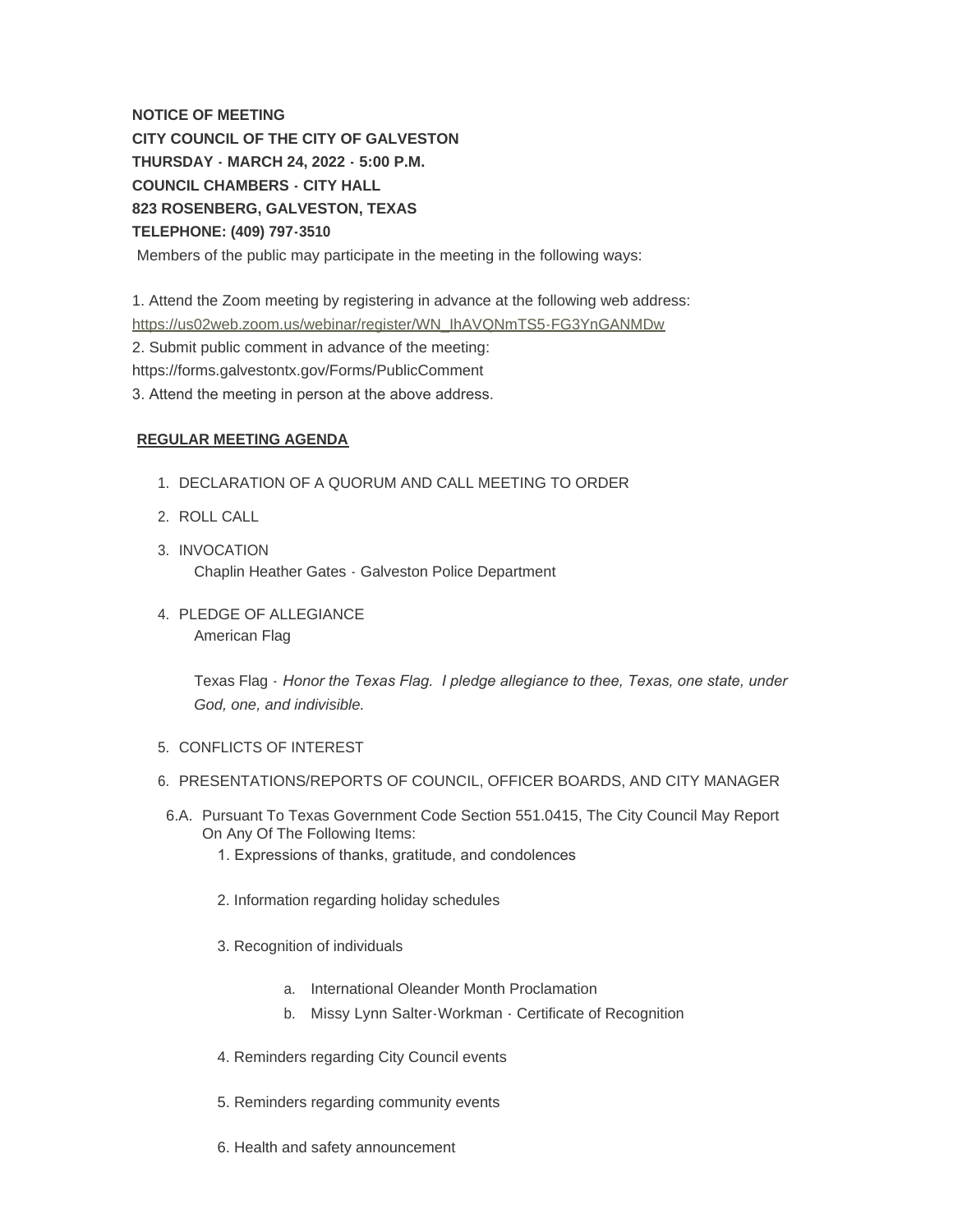**NOTICE OF MEETING CITY COUNCIL OF THE CITY OF GALVESTON THURSDAY - MARCH 24, 2022 - 5:00 P.M. COUNCIL CHAMBERS - CITY HALL 823 ROSENBERG, GALVESTON, TEXAS TELEPHONE: (409) 797-3510** Members of the public may participate in the meeting in the following ways:

[1. Attend the Zoom meeting by registering in advance at the following web addre](https://us02web.zoom.us/webinar/register/WN_IhAVQNmTS5-FG3YnGANMDw)ss: https://us02web.zoom.us/webinar/register/WN\_IhAVQNmTS5-FG3YnGANMDw 2. Submit public comment in advance of the meeting: https://forms.galvestontx.gov/Forms/PublicComment

3. Attend the meeting in person at the above address.

## **REGULAR MEETING AGENDA**

- 1. DECLARATION OF A QUORUM AND CALL MEETING TO ORDER
- 2. ROLL CALL
- 3. INVOCATION Chaplin Heather Gates - Galveston Police Department
- 4. PLEDGE OF ALLEGIANCE American Flag

Texas Flag - *Honor the Texas Flag. I pledge allegiance to thee, Texas, one state, under God, one, and indivisible.*

- 5. CONFLICTS OF INTEREST
- 6. PRESENTATIONS/REPORTS OF COUNCIL, OFFICER BOARDS, AND CITY MANAGER
- 6.A. Pursuant To Texas Government Code Section 551.0415, The City Council May Report On Any Of The Following Items:
	- 1. Expressions of thanks, gratitude, and condolences
	- 2. Information regarding holiday schedules
	- 3. Recognition of individuals
		- a. International Oleander Month Proclamation
		- b. Missy Lynn Salter-Workman Certificate of Recognition
	- 4. Reminders regarding City Council events
	- 5. Reminders regarding community events
	- 6. Health and safety announcement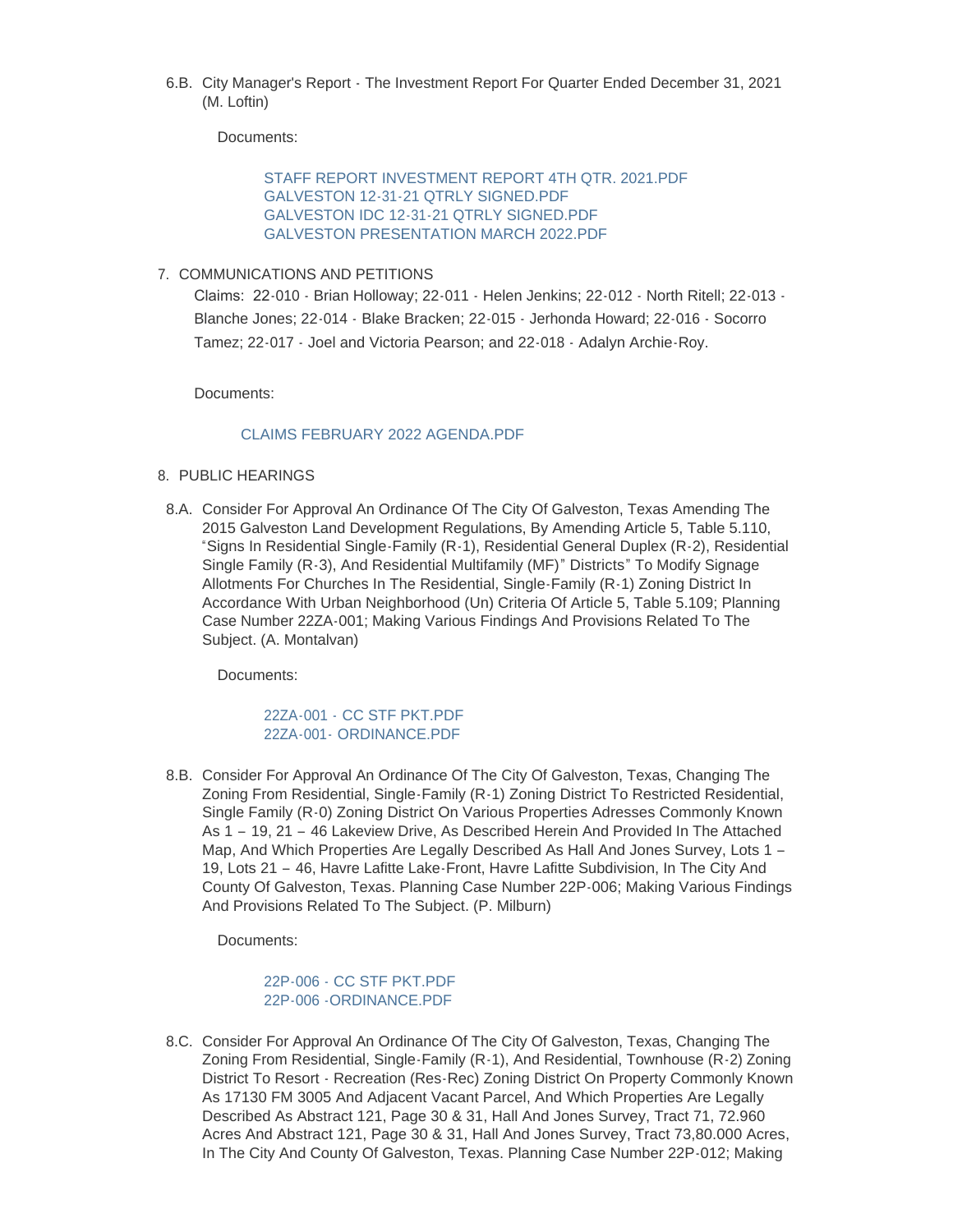6.B. City Manager's Report - The Investment Report For Quarter Ended December 31, 2021 (M. Loftin)

Documents:

[STAFF REPORT INVESTMENT REPORT 4TH QTR. 2021.PDF](https://www.galvestontx.gov/AgendaCenter/ViewFile/Item/13854?fileID=32331) [GALVESTON 12-31-21 QTRLY SIGNED.PDF](https://www.galvestontx.gov/AgendaCenter/ViewFile/Item/13854?fileID=32332) [GALVESTON IDC 12-31-21 QTRLY SIGNED.PDF](https://www.galvestontx.gov/AgendaCenter/ViewFile/Item/13854?fileID=32333) [GALVESTON PRESENTATION MARCH 2022.PDF](https://www.galvestontx.gov/AgendaCenter/ViewFile/Item/13854?fileID=32334)

7. COMMUNICATIONS AND PETITIONS

Claims: 22-010 - Brian Holloway; 22-011 - Helen Jenkins; 22-012 - North Ritell; 22-013 - Blanche Jones; 22-014 - Blake Bracken; 22-015 - Jerhonda Howard; 22-016 - Socorro Tamez; 22-017 - Joel and Victoria Pearson; and 22-018 - Adalyn Archie-Roy.

Documents:

## [CLAIMS FEBRUARY 2022 AGENDA.PDF](https://www.galvestontx.gov/AgendaCenter/ViewFile/Item/13869?fileID=32432)

- 8. PUBLIC HEARINGS
- 8.A. Consider For Approval An Ordinance Of The City Of Galveston, Texas Amending The 2015 Galveston Land Development Regulations, By Amending Article 5, Table 5.110, "Signs In Residential Single-Family (R-1), Residential General Duplex (R-2), Residential Single Family (R-3), And Residential Multifamily (MF)" Districts" To Modify Signage Allotments For Churches In The Residential, Single-Family (R-1) Zoning District In Accordance With Urban Neighborhood (Un) Criteria Of Article 5, Table 5.109; Planning Case Number 22ZA-001; Making Various Findings And Provisions Related To The Subject. (A. Montalvan)

Documents:

22ZA-001 - [CC STF PKT.PDF](https://www.galvestontx.gov/AgendaCenter/ViewFile/Item/13904?fileID=32407) 22ZA-001- [ORDINANCE.PDF](https://www.galvestontx.gov/AgendaCenter/ViewFile/Item/13904?fileID=32408)

8.B. Consider For Approval An Ordinance Of The City Of Galveston, Texas, Changing The Zoning From Residential, Single-Family (R-1) Zoning District To Restricted Residential, Single Family (R-0) Zoning District On Various Properties Adresses Commonly Known As 1 – 19, 21 – 46 Lakeview Drive, As Described Herein And Provided In The Attached Map, And Which Properties Are Legally Described As Hall And Jones Survey, Lots 1 -19, Lots 21 – 46, Havre Lafitte Lake-Front, Havre Lafitte Subdivision, In The City And County Of Galveston, Texas. Planning Case Number 22P-006; Making Various Findings And Provisions Related To The Subject. (P. Milburn)

Documents:

[22P-006 - CC STF PKT.PDF](https://www.galvestontx.gov/AgendaCenter/ViewFile/Item/13903?fileID=32399) [22P-006 -ORDINANCE.PDF](https://www.galvestontx.gov/AgendaCenter/ViewFile/Item/13903?fileID=32400)

8.C. Consider For Approval An Ordinance Of The City Of Galveston, Texas, Changing The Zoning From Residential, Single-Family (R-1), And Residential, Townhouse (R-2) Zoning District To Resort - Recreation (Res-Rec) Zoning District On Property Commonly Known As 17130 FM 3005 And Adjacent Vacant Parcel, And Which Properties Are Legally Described As Abstract 121, Page 30 & 31, Hall And Jones Survey, Tract 71, 72.960 Acres And Abstract 121, Page 30 & 31, Hall And Jones Survey, Tract 73,80.000 Acres, In The City And County Of Galveston, Texas. Planning Case Number 22P-012; Making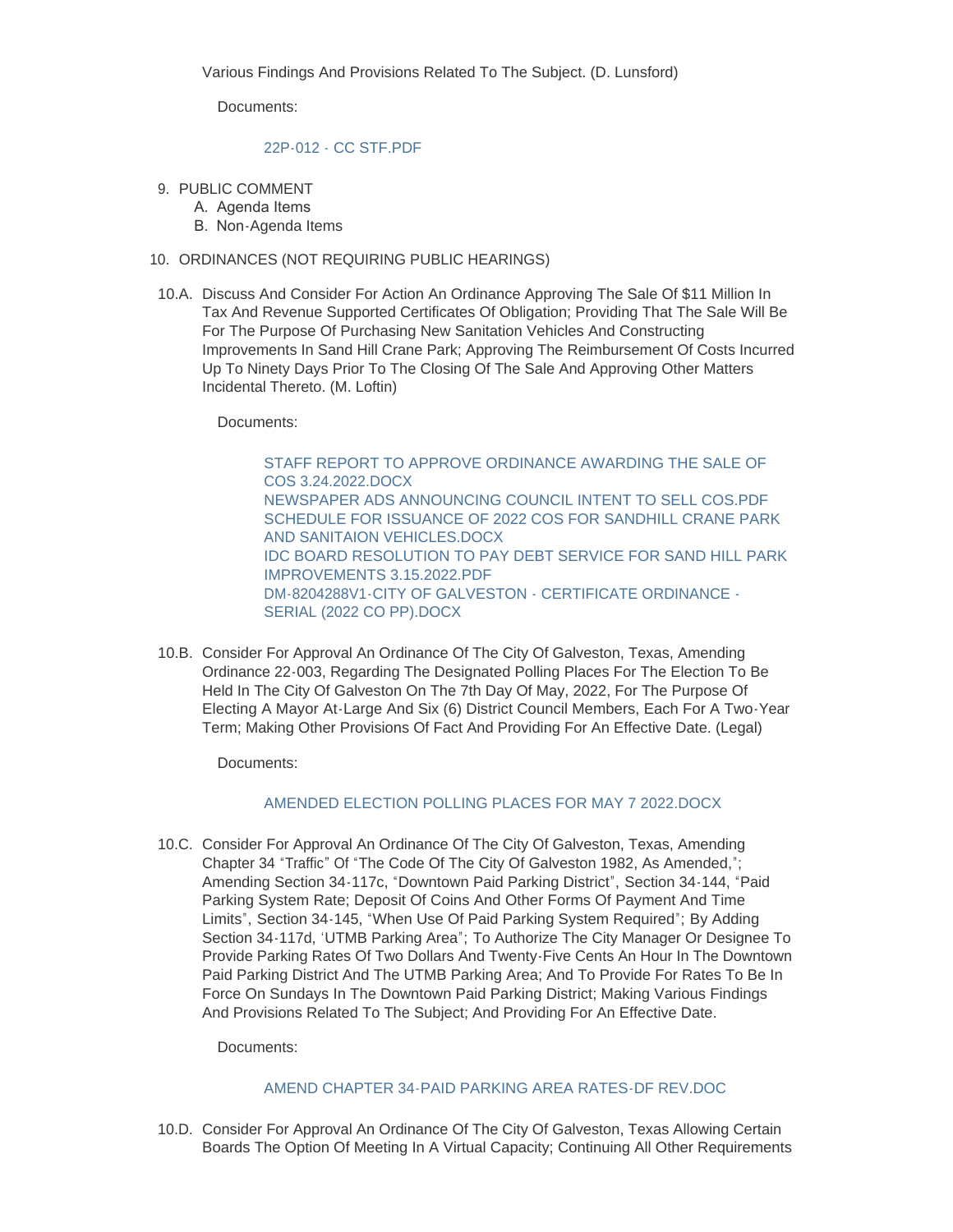Documents:

#### [22P-012 - CC STF.PDF](https://www.galvestontx.gov/AgendaCenter/ViewFile/Item/13890?fileID=32383)

- 9. PUBLIC COMMENT
	- A. Agenda Items
	- B. Non-Agenda Items

#### 10. ORDINANCES (NOT REQUIRING PUBLIC HEARINGS)

10.A. Discuss And Consider For Action An Ordinance Approving The Sale Of \$11 Million In Tax And Revenue Supported Certificates Of Obligation; Providing That The Sale Will Be For The Purpose Of Purchasing New Sanitation Vehicles And Constructing Improvements In Sand Hill Crane Park; Approving The Reimbursement Of Costs Incurred Up To Ninety Days Prior To The Closing Of The Sale And Approving Other Matters Incidental Thereto. (M. Loftin)

Documents:

[STAFF REPORT TO APPROVE ORDINANCE AWARDING THE SALE OF](https://www.galvestontx.gov/AgendaCenter/ViewFile/Item/13895?fileID=32386)  COS 3.24.2022.DOCX [NEWSPAPER ADS ANNOUNCING COUNCIL INTENT TO SELL COS.PDF](https://www.galvestontx.gov/AgendaCenter/ViewFile/Item/13895?fileID=32387) [SCHEDULE FOR ISSUANCE OF 2022 COS FOR SANDHILL CRANE PARK](https://www.galvestontx.gov/AgendaCenter/ViewFile/Item/13895?fileID=32388)  AND SANITAION VEHICLES.DOCX [IDC BOARD RESOLUTION TO PAY DEBT SERVICE FOR SAND HILL PARK](https://www.galvestontx.gov/AgendaCenter/ViewFile/Item/13895?fileID=32389)  IMPROVEMENTS 3.15.2022.PDF [DM-8204288V1-CITY OF GALVESTON - CERTIFICATE ORDINANCE -](https://www.galvestontx.gov/AgendaCenter/ViewFile/Item/13895?fileID=32414) SERIAL (2022 CO PP).DOCX

10.B. Consider For Approval An Ordinance Of The City Of Galveston, Texas, Amending Ordinance 22-003, Regarding The Designated Polling Places For The Election To Be Held In The City Of Galveston On The 7th Day Of May, 2022, For The Purpose Of Electing A Mayor At-Large And Six (6) District Council Members, Each For A Two-Year Term; Making Other Provisions Of Fact And Providing For An Effective Date. (Legal)

Documents:

### [AMENDED ELECTION POLLING PLACES FOR MAY 7 2022.DOCX](https://www.galvestontx.gov/AgendaCenter/ViewFile/Item/13884?fileID=32373)

10.C. Consider For Approval An Ordinance Of The City Of Galveston, Texas, Amending Chapter 34 "Traffic" Of "The Code Of The City Of Galveston 1982, As Amended,"; Amending Section 34-117c, "Downtown Paid Parking District", Section 34-144, "Paid Parking System Rate; Deposit Of Coins And Other Forms Of Payment And Time Limits", Section 34-145, "When Use Of Paid Parking System Required"; By Adding Section 34-117d, 'UTMB Parking Area"; To Authorize The City Manager Or Designee To Provide Parking Rates Of Two Dollars And Twenty-Five Cents An Hour In The Downtown Paid Parking District And The UTMB Parking Area; And To Provide For Rates To Be In Force On Sundays In The Downtown Paid Parking District; Making Various Findings And Provisions Related To The Subject; And Providing For An Effective Date.

Documents:

### [AMEND CHAPTER 34-PAID PARKING AREA RATES-DF REV.DOC](https://www.galvestontx.gov/AgendaCenter/ViewFile/Item/13883?fileID=32372)

10.D. Consider For Approval An Ordinance Of The City Of Galveston, Texas Allowing Certain Boards The Option Of Meeting In A Virtual Capacity; Continuing All Other Requirements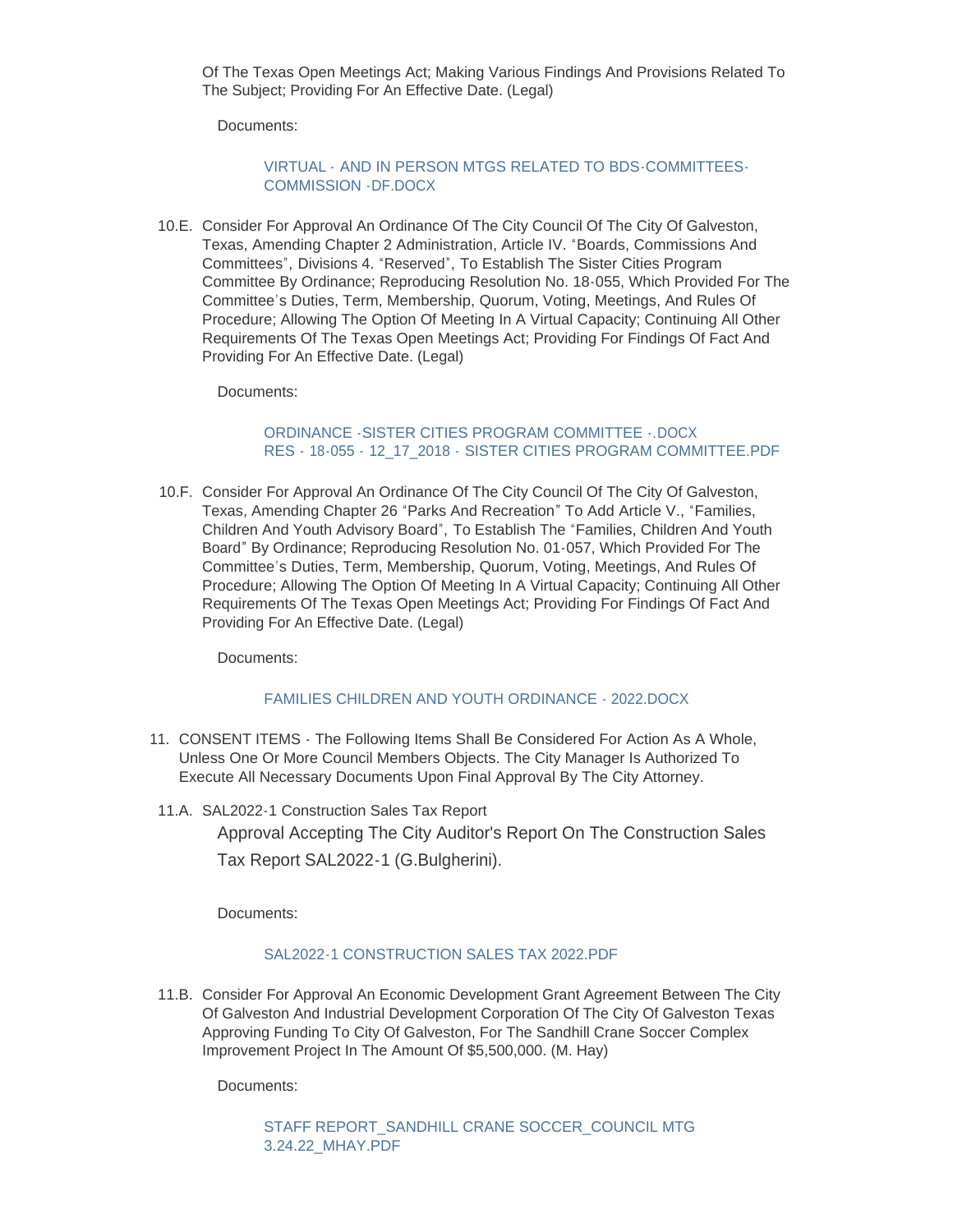Of The Texas Open Meetings Act; Making Various Findings And Provisions Related To The Subject; Providing For An Effective Date. (Legal)

Documents:

### VIRTUAL - [AND IN PERSON MTGS RELATED TO BDS-COMMITTEES-](https://www.galvestontx.gov/AgendaCenter/ViewFile/Item/13953?fileID=32426)COMMISSION -DF.DOCX

10.E. Consider For Approval An Ordinance Of The City Council Of The City Of Galveston, Texas, Amending Chapter 2 Administration, Article IV. "Boards, Commissions And Committees", Divisions 4. "Reserved", To Establish The Sister Cities Program Committee By Ordinance; Reproducing Resolution No. 18-055, Which Provided For The Committee's Duties, Term, Membership, Quorum, Voting, Meetings, And Rules Of Procedure; Allowing The Option Of Meeting In A Virtual Capacity; Continuing All Other Requirements Of The Texas Open Meetings Act; Providing For Findings Of Fact And Providing For An Effective Date. (Legal)

Documents:

#### ORDINANCE -SISTER CITIES PROGRAM COMMITTEE - DOCX RES - 18-055 - 12\_17\_2018 - [SISTER CITIES PROGRAM COMMITTEE.PDF](https://www.galvestontx.gov/AgendaCenter/ViewFile/Item/13906?fileID=32444)

10.F. Consider For Approval An Ordinance Of The City Council Of The City Of Galveston, Texas, Amending Chapter 26 "Parks And Recreation" To Add Article V., "Families, Children And Youth Advisory Board", To Establish The "Families, Children And Youth Board" By Ordinance; Reproducing Resolution No. 01-057, Which Provided For The Committee's Duties, Term, Membership, Quorum, Voting, Meetings, And Rules Of Procedure; Allowing The Option Of Meeting In A Virtual Capacity; Continuing All Other Requirements Of The Texas Open Meetings Act; Providing For Findings Of Fact And Providing For An Effective Date. (Legal)

Documents:

### [FAMILIES CHILDREN AND YOUTH ORDINANCE - 2022.DOCX](https://www.galvestontx.gov/AgendaCenter/ViewFile/Item/13954?fileID=32427)

- 11. CONSENT ITEMS The Following Items Shall Be Considered For Action As A Whole, Unless One Or More Council Members Objects. The City Manager Is Authorized To Execute All Necessary Documents Upon Final Approval By The City Attorney.
- 11.A. SAL2022-1 Construction Sales Tax Report Approval Accepting The City Auditor's Report On The Construction Sales Tax Report SAL2022-1 (G.Bulgherini).

Documents:

### SAL2022-1 CONSTRUCTION SALES TAX 2022 PDF

11.B. Consider For Approval An Economic Development Grant Agreement Between The City Of Galveston And Industrial Development Corporation Of The City Of Galveston Texas Approving Funding To City Of Galveston, For The Sandhill Crane Soccer Complex Improvement Project In The Amount Of \$5,500,000. (M. Hay)

Documents:

STAFF REPORT\_SANDHILL CRANE SOCCER\_COUNCIL MTG 3.24.22\_MHAY.PDF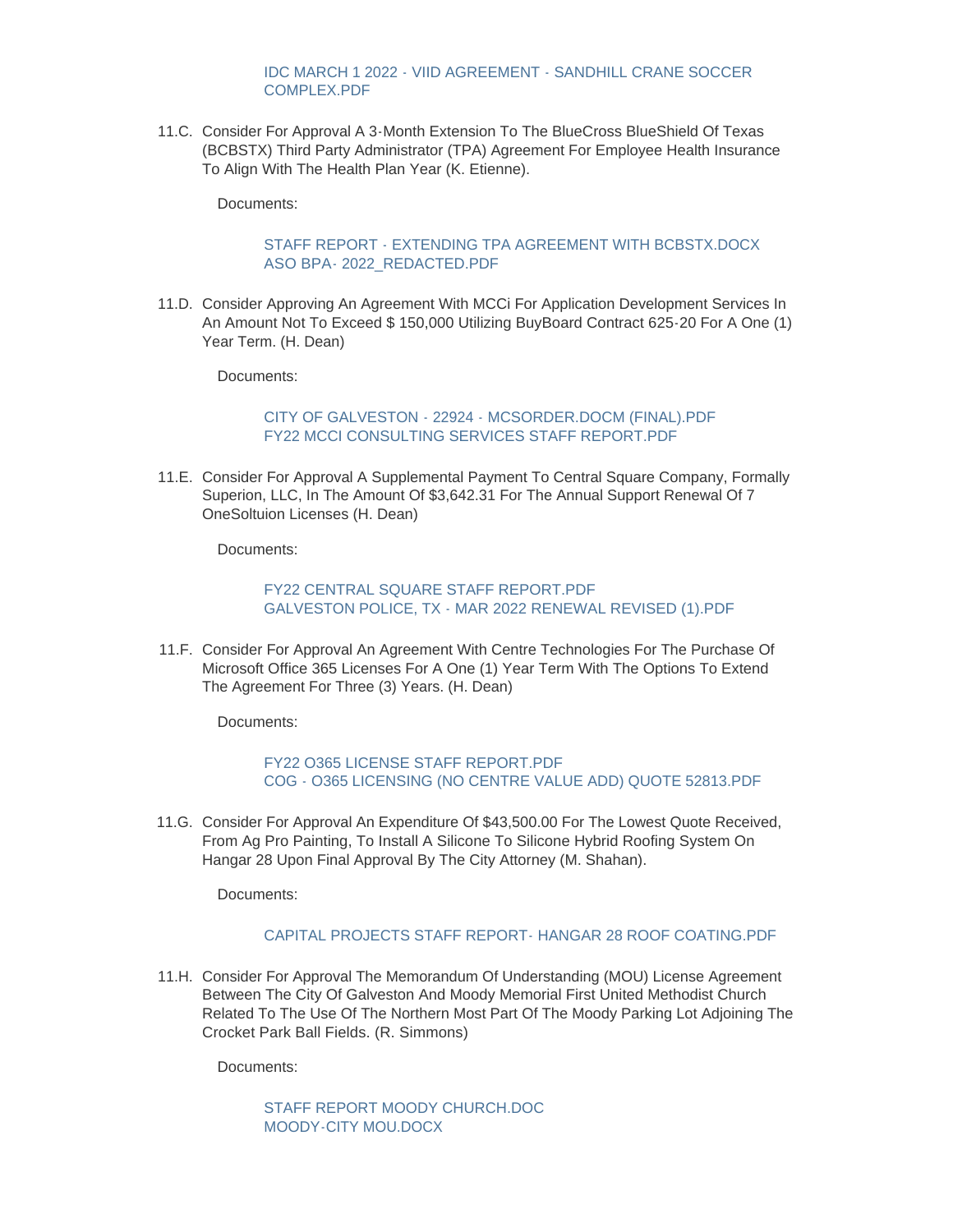[IDC MARCH 1 2022 - VIID AGREEMENT - SANDHILL CRANE SOCCER](https://www.galvestontx.gov/AgendaCenter/ViewFile/Item/13886?fileID=32440)  COMPLEX.PDF

11.C. Consider For Approval A 3-Month Extension To The BlueCross BlueShield Of Texas (BCBSTX) Third Party Administrator (TPA) Agreement For Employee Health Insurance To Align With The Health Plan Year (K. Etienne).

Documents:

#### STAFF REPORT - EXTENDING TPA AGREEMENT WITH BCBSTX DOCX [ASO BPA- 2022\\_REDACTED.PDF](https://www.galvestontx.gov/AgendaCenter/ViewFile/Item/13893?fileID=32458)

11.D. Consider Approving An Agreement With MCCi For Application Development Services In An Amount Not To Exceed \$ 150,000 Utilizing BuyBoard Contract 625-20 For A One (1) Year Term. (H. Dean)

Documents:

[CITY OF GALVESTON - 22924 - MCSORDER.DOCM \(FINAL\).PDF](https://www.galvestontx.gov/AgendaCenter/ViewFile/Item/13905?fileID=32402) [FY22 MCCI CONSULTING SERVICES STAFF REPORT.PDF](https://www.galvestontx.gov/AgendaCenter/ViewFile/Item/13905?fileID=32418)

11.E. Consider For Approval A Supplemental Payment To Central Square Company, Formally Superion, LLC, In The Amount Of \$3,642.31 For The Annual Support Renewal Of 7 OneSoltuion Licenses (H. Dean)

Documents:

[FY22 CENTRAL SQUARE STAFF REPORT.PDF](https://www.galvestontx.gov/AgendaCenter/ViewFile/Item/13908?fileID=32405) [GALVESTON POLICE, TX - MAR 2022 RENEWAL REVISED \(1\).PDF](https://www.galvestontx.gov/AgendaCenter/ViewFile/Item/13908?fileID=32406)

11.F. Consider For Approval An Agreement With Centre Technologies For The Purchase Of Microsoft Office 365 Licenses For A One (1) Year Term With The Options To Extend The Agreement For Three (3) Years. (H. Dean)

Documents:

[FY22 O365 LICENSE STAFF REPORT.PDF](https://www.galvestontx.gov/AgendaCenter/ViewFile/Item/13901?fileID=32395) [COG - O365 LICENSING \(NO CENTRE VALUE ADD\) QUOTE 52813.PDF](https://www.galvestontx.gov/AgendaCenter/ViewFile/Item/13901?fileID=32396)

11.G. Consider For Approval An Expenditure Of \$43,500.00 For The Lowest Quote Received, From Ag Pro Painting, To Install A Silicone To Silicone Hybrid Roofing System On Hangar 28 Upon Final Approval By The City Attorney (M. Shahan).

Documents:

#### [CAPITAL PROJECTS STAFF REPORT- HANGAR 28 ROOF COATING.PDF](https://www.galvestontx.gov/AgendaCenter/ViewFile/Item/13891?fileID=32384)

11.H. Consider For Approval The Memorandum Of Understanding (MOU) License Agreement Between The City Of Galveston And Moody Memorial First United Methodist Church Related To The Use Of The Northern Most Part Of The Moody Parking Lot Adjoining The Crocket Park Ball Fields. (R. Simmons)

Documents:

[STAFF REPORT MOODY CHURCH.DOC](https://www.galvestontx.gov/AgendaCenter/ViewFile/Item/13882?fileID=32369) [MOODY-CITY MOU.DOCX](https://www.galvestontx.gov/AgendaCenter/ViewFile/Item/13882?fileID=32370)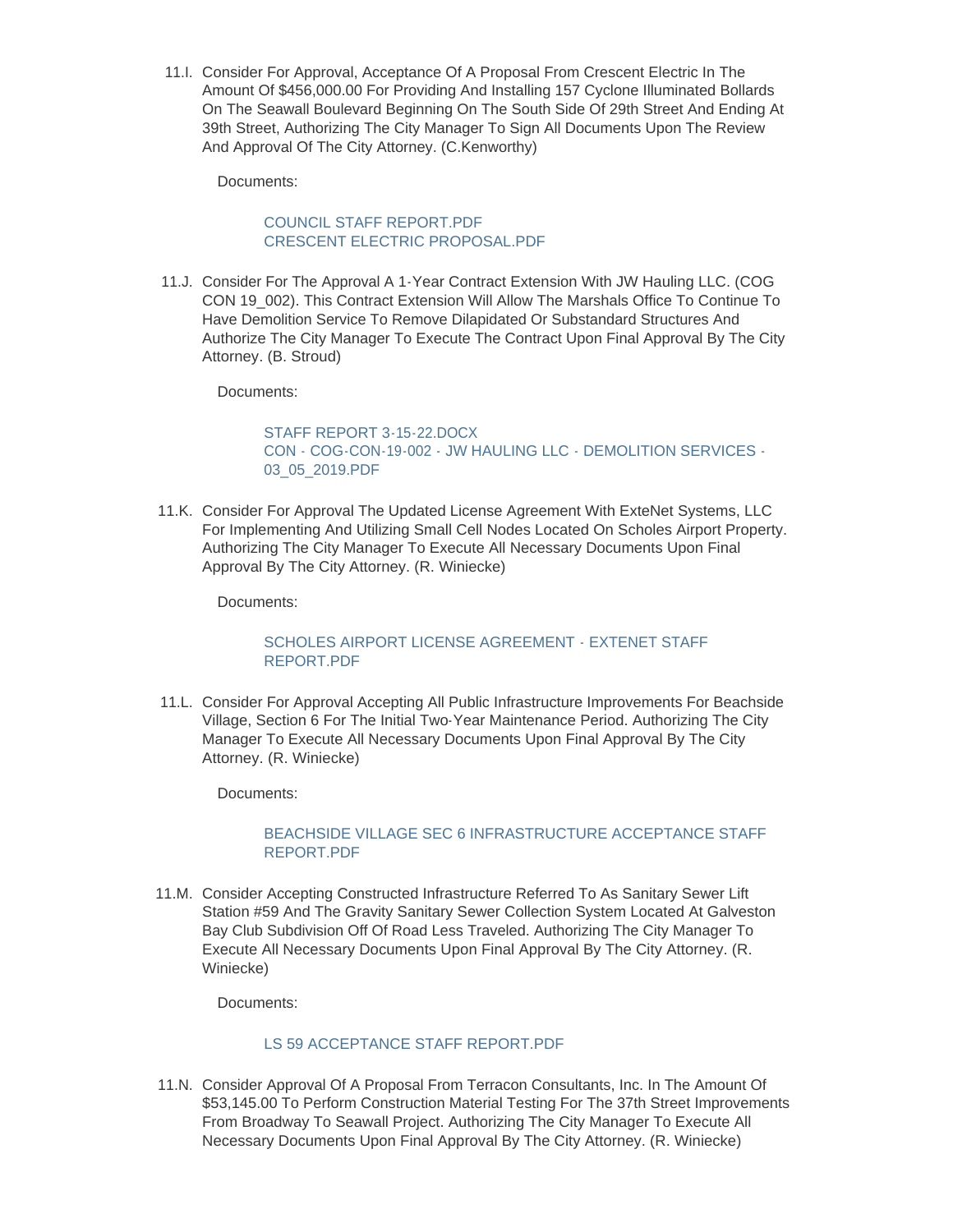11. Consider For Approval, Acceptance Of A Proposal From Crescent Electric In The Amount Of \$456,000.00 For Providing And Installing 157 Cyclone Illuminated Bollards On The Seawall Boulevard Beginning On The South Side Of 29th Street And Ending At 39th Street, Authorizing The City Manager To Sign All Documents Upon The Review And Approval Of The City Attorney. (C.Kenworthy)

Documents:

## [COUNCIL STAFF REPORT.PDF](https://www.galvestontx.gov/AgendaCenter/ViewFile/Item/13889?fileID=32381) [CRESCENT ELECTRIC PROPOSAL.PDF](https://www.galvestontx.gov/AgendaCenter/ViewFile/Item/13889?fileID=32382)

11.J. Consider For The Approval A 1-Year Contract Extension With JW Hauling LLC. (COG CON 19\_002). This Contract Extension Will Allow The Marshals Office To Continue To Have Demolition Service To Remove Dilapidated Or Substandard Structures And Authorize The City Manager To Execute The Contract Upon Final Approval By The City Attorney. (B. Stroud)

Documents:

STAFF REPORT 3-15-22 DOCX [CON - COG-CON-19-002 - JW HAULING LLC - DEMOLITION SERVICES -](https://www.galvestontx.gov/AgendaCenter/ViewFile/Item/13902?fileID=32398) 03\_05\_2019.PDF

11.K. Consider For Approval The Updated License Agreement With ExteNet Systems, LLC For Implementing And Utilizing Small Cell Nodes Located On Scholes Airport Property. Authorizing The City Manager To Execute All Necessary Documents Upon Final Approval By The City Attorney. (R. Winiecke)

Documents:

### [SCHOLES AIRPORT LICENSE AGREEMENT - EXTENET STAFF](https://www.galvestontx.gov/AgendaCenter/ViewFile/Item/13888?fileID=32380)  REPORT.PDF

11.L. Consider For Approval Accepting All Public Infrastructure Improvements For Beachside Village, Section 6 For The Initial Two-Year Maintenance Period. Authorizing The City Manager To Execute All Necessary Documents Upon Final Approval By The City Attorney. (R. Winiecke)

Documents:

## [BEACHSIDE VILLAGE SEC 6 INFRASTRUCTURE ACCEPTANCE STAFF](https://www.galvestontx.gov/AgendaCenter/ViewFile/Item/13887?fileID=32379)  REPORT.PDF

11.M. Consider Accepting Constructed Infrastructure Referred To As Sanitary Sewer Lift Station #59 And The Gravity Sanitary Sewer Collection System Located At Galveston Bay Club Subdivision Off Of Road Less Traveled. Authorizing The City Manager To Execute All Necessary Documents Upon Final Approval By The City Attorney. (R. Winiecke)

Documents:

### [LS 59 ACCEPTANCE STAFF REPORT.PDF](https://www.galvestontx.gov/AgendaCenter/ViewFile/Item/13910?fileID=32411)

11.N. Consider Approval Of A Proposal From Terracon Consultants, Inc. In The Amount Of \$53,145.00 To Perform Construction Material Testing For The 37th Street Improvements From Broadway To Seawall Project. Authorizing The City Manager To Execute All Necessary Documents Upon Final Approval By The City Attorney. (R. Winiecke)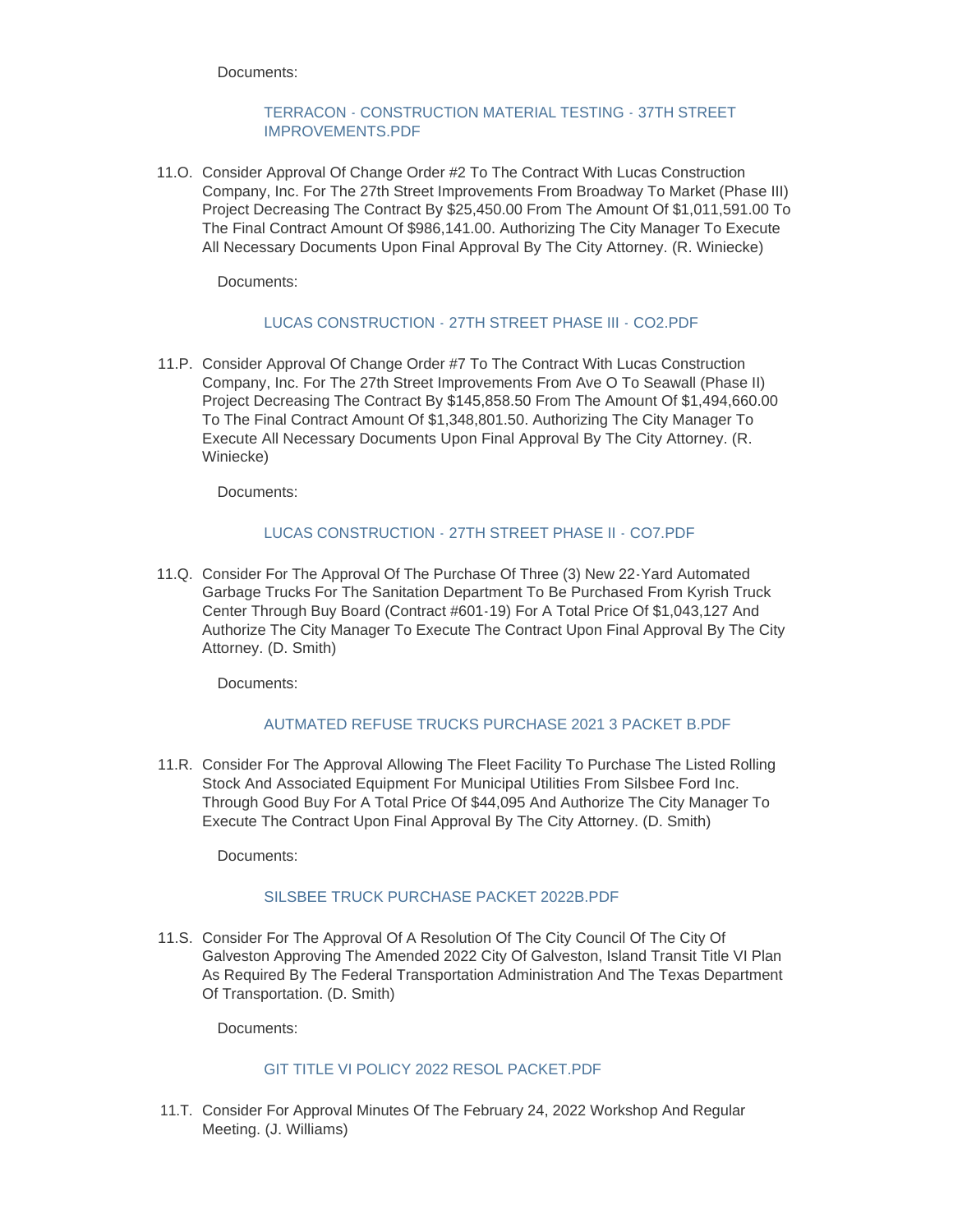Documents:

### [TERRACON - CONSTRUCTION MATERIAL TESTING - 37TH STREET](https://www.galvestontx.gov/AgendaCenter/ViewFile/Item/13894?fileID=32385)  IMPROVEMENTS.PDF

11.O. Consider Approval Of Change Order #2 To The Contract With Lucas Construction Company, Inc. For The 27th Street Improvements From Broadway To Market (Phase III) Project Decreasing The Contract By \$25,450.00 From The Amount Of \$1,011,591.00 To The Final Contract Amount Of \$986,141.00. Authorizing The City Manager To Execute All Necessary Documents Upon Final Approval By The City Attorney. (R. Winiecke)

Documents:

## [LUCAS CONSTRUCTION - 27TH STREET PHASE III - CO2.PDF](https://www.galvestontx.gov/AgendaCenter/ViewFile/Item/13897?fileID=32391)

11.P. Consider Approval Of Change Order #7 To The Contract With Lucas Construction Company, Inc. For The 27th Street Improvements From Ave O To Seawall (Phase II) Project Decreasing The Contract By \$145,858.50 From The Amount Of \$1,494,660.00 To The Final Contract Amount Of \$1,348,801.50. Authorizing The City Manager To Execute All Necessary Documents Upon Final Approval By The City Attorney. (R. Winiecke)

Documents:

## [LUCAS CONSTRUCTION - 27TH STREET PHASE II - CO7.PDF](https://www.galvestontx.gov/AgendaCenter/ViewFile/Item/13896?fileID=32390)

11.Q. Consider For The Approval Of The Purchase Of Three (3) New 22-Yard Automated Garbage Trucks For The Sanitation Department To Be Purchased From Kyrish Truck Center Through Buy Board (Contract #601-19) For A Total Price Of \$1,043,127 And Authorize The City Manager To Execute The Contract Upon Final Approval By The City Attorney. (D. Smith)

Documents:

# [AUTMATED REFUSE TRUCKS PURCHASE 2021 3 PACKET B.PDF](https://www.galvestontx.gov/AgendaCenter/ViewFile/Item/13898?fileID=32392)

11.R. Consider For The Approval Allowing The Fleet Facility To Purchase The Listed Rolling Stock And Associated Equipment For Municipal Utilities From Silsbee Ford Inc. Through Good Buy For A Total Price Of \$44,095 And Authorize The City Manager To Execute The Contract Upon Final Approval By The City Attorney. (D. Smith)

Documents:

### [SILSBEE TRUCK PURCHASE PACKET 2022B.PDF](https://www.galvestontx.gov/AgendaCenter/ViewFile/Item/13900?fileID=32413)

11.S. Consider For The Approval Of A Resolution Of The City Council Of The City Of Galveston Approving The Amended 2022 City Of Galveston, Island Transit Title VI Plan As Required By The Federal Transportation Administration And The Texas Department Of Transportation. (D. Smith)

Documents:

## [GIT TITLE VI POLICY 2022 RESOL PACKET.PDF](https://www.galvestontx.gov/AgendaCenter/ViewFile/Item/13899?fileID=32393)

11.T. Consider For Approval Minutes Of The February 24, 2022 Workshop And Regular Meeting. (J. Williams)